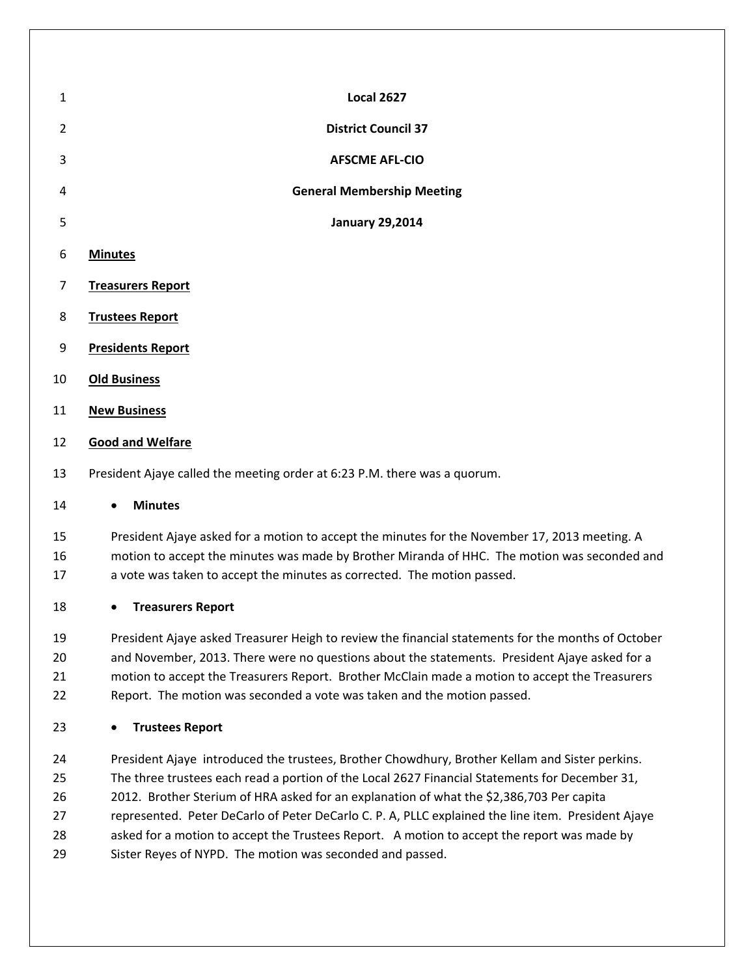| $\mathbf{1}$   | <b>Local 2627</b>                                                               |  |  |
|----------------|---------------------------------------------------------------------------------|--|--|
| $\overline{2}$ | <b>District Council 37</b>                                                      |  |  |
| 3              | <b>AFSCME AFL-CIO</b>                                                           |  |  |
| 4              | <b>General Membership Meeting</b>                                               |  |  |
| 5              | <b>January 29,2014</b>                                                          |  |  |
| 6              | <b>Minutes</b>                                                                  |  |  |
| $\overline{7}$ | <b>Treasurers Report</b>                                                        |  |  |
| 8              | <b>Trustees Report</b>                                                          |  |  |
| 9              | <b>Presidents Report</b>                                                        |  |  |
| 10             | <b>Old Business</b>                                                             |  |  |
| 11             | <b>New Business</b>                                                             |  |  |
| 12             | <b>Good and Welfare</b>                                                         |  |  |
| 13             | President Ajaye called the meeting order at 6:23 P.M. there was a quorum.       |  |  |
| 14             | <b>Minutes</b><br>$\bullet$                                                     |  |  |
| 15             | Procident Airve asked for a motion to accent the minutes for the November 17 20 |  |  |

 President Ajaye asked for a motion to accept the minutes for the November 17, 2013 meeting. A motion to accept the minutes was made by Brother Miranda of HHC. The motion was seconded and a vote was taken to accept the minutes as corrected. The motion passed.

## **Treasurers Report**

 President Ajaye asked Treasurer Heigh to review the financial statements for the months of October and November, 2013. There were no questions about the statements. President Ajaye asked for a motion to accept the Treasurers Report. Brother McClain made a motion to accept the Treasurers Report. The motion was seconded a vote was taken and the motion passed.

## **Trustees Report**

 President Ajaye introduced the trustees, Brother Chowdhury, Brother Kellam and Sister perkins. The three trustees each read a portion of the Local 2627 Financial Statements for December 31, 2012. Brother Sterium of HRA asked for an explanation of what the \$2,386,703 Per capita represented. Peter DeCarlo of Peter DeCarlo C. P. A, PLLC explained the line item. President Ajaye 28 asked for a motion to accept the Trustees Report. A motion to accept the report was made by Sister Reyes of NYPD. The motion was seconded and passed.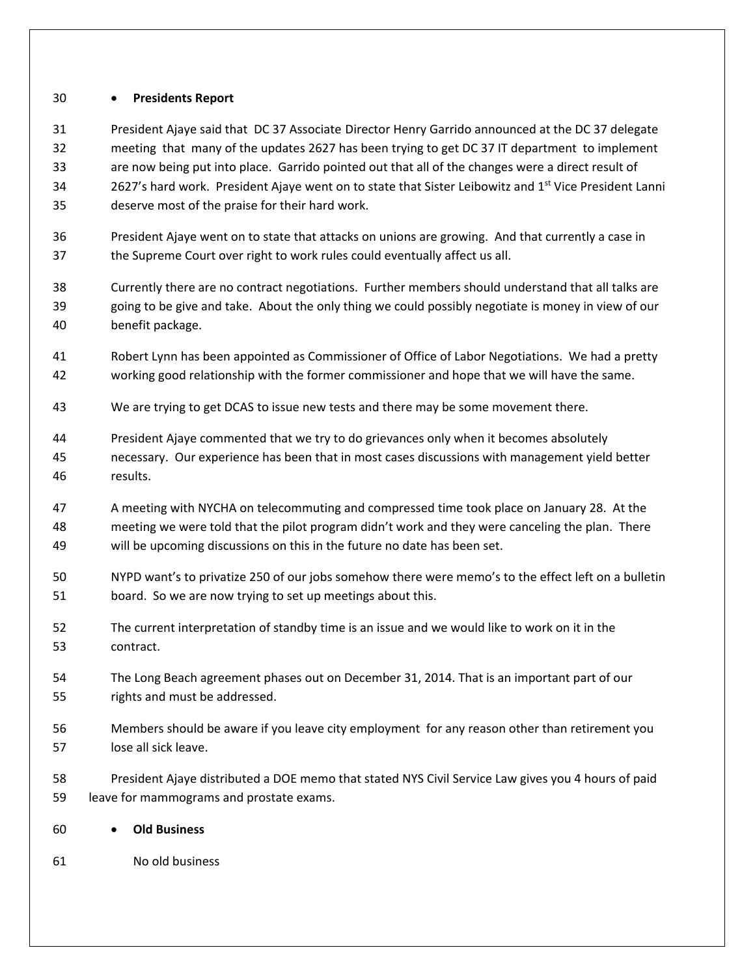## **Presidents Report**

 President Ajaye said that DC 37 Associate Director Henry Garrido announced at the DC 37 delegate meeting that many of the updates 2627 has been trying to get DC 37 IT department to implement are now being put into place. Garrido pointed out that all of the changes were a direct result of 2627's hard work. President Ajaye went on to state that Sister Leibowitz and 1<sup>st</sup> Vice President Lanni deserve most of the praise for their hard work.

- President Ajaye went on to state that attacks on unions are growing. And that currently a case in the Supreme Court over right to work rules could eventually affect us all.
- Currently there are no contract negotiations. Further members should understand that all talks are going to be give and take. About the only thing we could possibly negotiate is money in view of our benefit package.
- Robert Lynn has been appointed as Commissioner of Office of Labor Negotiations. We had a pretty working good relationship with the former commissioner and hope that we will have the same.
- We are trying to get DCAS to issue new tests and there may be some movement there.
- President Ajaye commented that we try to do grievances only when it becomes absolutely necessary. Our experience has been that in most cases discussions with management yield better results.
- A meeting with NYCHA on telecommuting and compressed time took place on January 28. At the meeting we were told that the pilot program didn't work and they were canceling the plan. There will be upcoming discussions on this in the future no date has been set.
- NYPD want's to privatize 250 of our jobs somehow there were memo's to the effect left on a bulletin board. So we are now trying to set up meetings about this.
- The current interpretation of standby time is an issue and we would like to work on it in the contract.
- The Long Beach agreement phases out on December 31, 2014. That is an important part of our rights and must be addressed.
- Members should be aware if you leave city employment for any reason other than retirement you lose all sick leave.
- President Ajaye distributed a DOE memo that stated NYS Civil Service Law gives you 4 hours of paid leave for mammograms and prostate exams.
- **Old Business**
- No old business